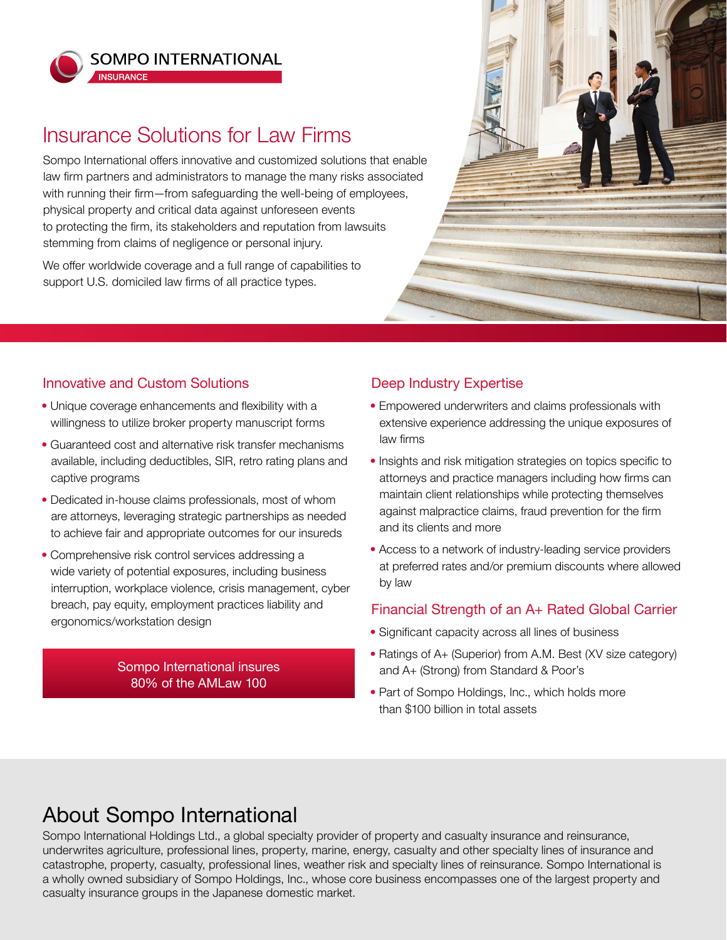

**INSURANCE** 

**SOMPO INTERNATIONAL** 

# Insurance Solutions for Law Firms

Sompo International offers innovative and customized solutions that enable law firm partners and administrators to manage the many risks associated with running their firm—from safeguarding the well-being of employees, physical property and critical data against unforeseen events to protecting the firm, its stakeholders and reputation from lawsuits stemming from claims of negligence or personal injury.

We offer worldwide coverage and a full range of capabilities to support U.S. domiciled law firms of all practice types.



### Innovative and Custom Solutions

- Unique coverage enhancements and flexibility with a willingness to utilize broker property manuscript forms
- Guaranteed cost and alternative risk transfer mechanisms available, including deductibles, SIR, retro rating plans and captive programs
- Dedicated in-house claims professionals, most of whom are attorneys, leveraging strategic partnerships as needed to achieve fair and appropriate outcomes for our insureds
- Comprehensive risk control services addressing a wide variety of potential exposures, including business interruption, workplace violence, crisis management, cyber breach, pay equity, employment practices liability and ergonomics/workstation design

#### Sompo International insures 80% of the AMLaw 100

## Deep Industry Expertise

- Empowered underwriters and claims professionals with extensive experience addressing the unique exposures of law firms
- Insights and risk mitigation strategies on topics specific to attorneys and practice managers including how firms can maintain client relationships while protecting themselves against malpractice claims, fraud prevention for the firm and its clients and more
- Access to a network of industry-leading service providers at preferred rates and/or premium discounts where allowed by law

### Financial Strength of an A+ Rated Global Carrier

- Significant capacity across all lines of business
- Ratings of A+ (Superior) from A.M. Best (XV size category) and A+ (Strong) from Standard & Poor's
- Part of Sompo Holdings, Inc., which holds more than \$100 billion in total assets

# About Sompo International

Sompo International Holdings Ltd., a global specialty provider of property and casualty insurance and reinsurance, underwrites agriculture, professional lines, property, marine, energy, casualty and other specialty lines of insurance and catastrophe, property, casualty, professional lines, weather risk and specialty lines of reinsurance. Sompo International is a wholly owned subsidiary of Sompo Holdings, Inc., whose core business encompasses one of the largest property and casualty insurance groups in the Japanese domestic market.